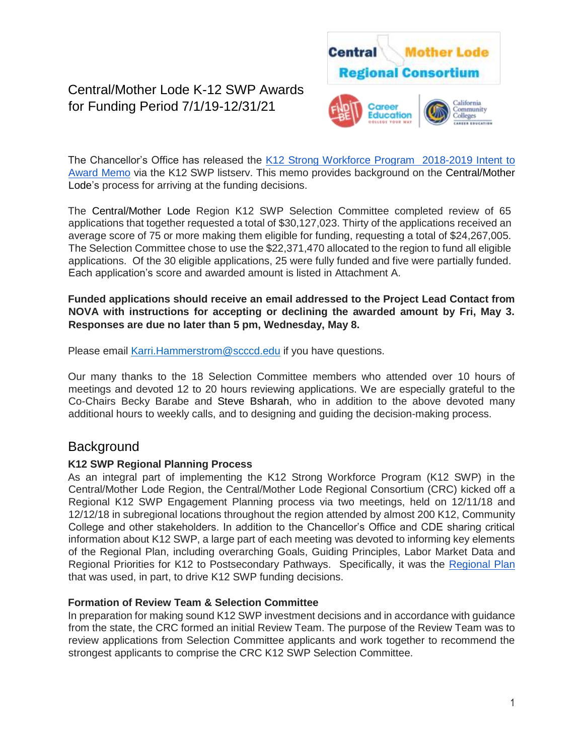# Central/Mother Lode K-12 SWP Awards for Funding Period 7/1/19-12/31/21



[The Chancellor's Office has released the K12 Strong Workforce Program 2018-2019 Intent to](https://extranet.cccco.edu/Portals/1/WED/Memos/2019%20Memos/K12SWP/2018-19%20K12%20SWP_%20Intent%20to%20Award%204-30-19.pdf) [Award Memo](https://extranet.cccco.edu/Portals/1/WED/Memos/2019%20Memos/K12SWP/2018-19%20K12%20SWP_%20Intent%20to%20Award%204-30-19.pdf) [via the K12 SWP listserv. This memo provides background on the Central/Mother](https://extranet.cccco.edu/Portals/1/WED/Memos/2019%20Memos/K12SWP/2018-19%20K12%20SWP_%20Intent%20to%20Award%204-30-19.pdf)  [Lode's p](https://extranet.cccco.edu/Portals/1/WED/Memos/2019%20Memos/K12SWP/2018-19%20K12%20SWP_%20Intent%20to%20Award%204-30-19.pdf)rocess for arriving at the funding decisions.

The Central/Mother Lode Region K12 SWP Selection Committee completed review of 65 applications that together requested a total of \$30,127,023. Thirty of the applications received an average score of 75 or more making them eligible for funding, requesting a total of \$24,267,005. The Selection Committee chose to use the \$22,371,470 allocated to the region to fund all eligible applications. Of the 30 eligible applications, 25 were fully funded and five were partially funded. Each application's score and awarded amount is listed in Attachment A.

**Funded applications should receive an email addressed to the Project Lead Contact from NOVA with instructions for accepting or declining the awarded amount by Fri, May 3. Responses are due no later than 5 pm, Wednesday, May 8.** 

Please email [Karri.Hammerstrom@scccd.edu](mailto:Karri.Hammerstrom@scccd.edu) if you have questions.

Our many thanks to the 18 Selection Committee members who attended over 10 hours of meetings and devoted 12 to 20 hours reviewing applications. We are especially grateful to the Co-Chairs Becky Barabe and Steve Bsharah, who in addition to the above devoted many additional hours to weekly calls, and to designing and guiding the decision-making process.

## **Background**

### **K12 SWP Regional Planning Process**

As an integral part of implementing the K12 Strong Workforce Program (K12 SWP) in the Central/Mother Lode Region, the Central/Mother Lode Regional Consortium (CRC) kicked off a Regional K12 SWP Engagement Planning process via two meetings, held on 12/11/18 and 12/12/18 in subregional locations throughout the region attended by almost 200 K12, Community College and other stakeholders. In addition to the Chancellor's Office and CDE sharing critical information about K12 SWP, a large part of each meeting was devoted to informing key elements of the Regional Plan, including overarching Goals, Guiding Principles, Labor Market Data and Regional Priorities for K12 to Postsecondary Pathways. Specifically, it was the [Regional Plan](http://crconsortium.com/wp-content/uploads/2019/04/CRC_FINAL_SWP-Strategic-Plan-2019-Jan2019_22119.pdf) that was used, in part, to drive K12 SWP funding decisions.

#### **Formation of Review Team & Selection Committee**

In preparation for making sound K12 SWP investment decisions and in accordance with guidance from the state, the CRC formed an initial Review Team. The purpose of the Review Team was to review applications from Selection Committee applicants and work together to recommend the strongest applicants to comprise the CRC K12 SWP Selection Committee.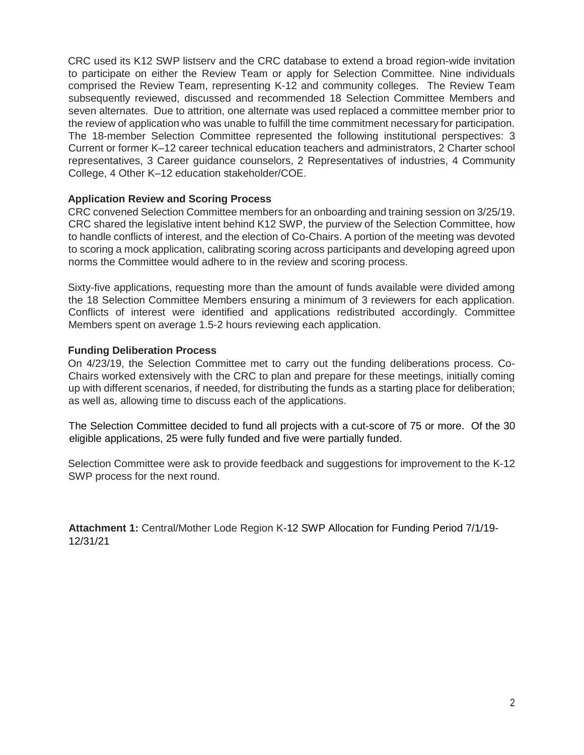CRC used its K12 SWP listserv and the CRC database to extend a broad region-wide invitation to participate on either the Review Team or apply for Selection Committee. Nine individuals comprised the Review Team, representing K-12 and community colleges. The Review Team subsequently reviewed, discussed and recommended 18 Selection Committee Members and seven alternates. Due to attrition, one alternate was used replaced a committee member prior to the review of application who was unable to fulfill the time commitment necessary for participation. The 18-member Selection Committee represented the following institutional perspectives: 3 Current or former K–12 career technical education teachers and administrators, 2 Charter school representatives, 3 Career guidance counselors, 2 Representatives of industries, 4 Community College, 4 Other K–12 education stakeholder/COE.

#### **Application Review and Scoring Process**

CRC convened Selection Committee members for an onboarding and training session on 3/25/19. CRC shared the legislative intent behind K12 SWP, the purview of the Selection Committee, how to handle conflicts of interest, and the election of Co-Chairs. A portion of the meeting was devoted to scoring a mock application, calibrating scoring across participants and developing agreed upon norms the Committee would adhere to in the review and scoring process.

Sixty-five applications, requesting more than the amount of funds available were divided among the 18 Selection Committee Members ensuring a minimum of 3 reviewers for each application. Conflicts of interest were identified and applications redistributed accordingly. Committee Members spent on average 1.5-2 hours reviewing each application.

#### **Funding Deliberation Process**

On 4/23/19, the Selection Committee met to carry out the funding deliberations process. Co-Chairs worked extensively with the CRC to plan and prepare for these meetings, initially coming up with different scenarios, if needed, for distributing the funds as a starting place for deliberation; as well as, allowing time to discuss each of the applications.

The Selection Committee decided to fund all projects with a cut-score of 75 or more. Of the 30 eligible applications, 25 were fully funded and five were partially funded.

Selection Committee were ask to provide feedback and suggestions for improvement to the K-12 SWP process for the next round.

**Attachment 1:** Central/Mother Lode Region [K-1](https://docs.google.com/spreadsheets/d/1ta7UOA_VhEsPIt6P-ZZeQw77qJae9Hv61lRRwlRSgx8/edit#gid=0)2 SWP Allocation for Funding Period 7/1/1[9-](https://docs.google.com/spreadsheets/d/1ta7UOA_VhEsPIt6P-ZZeQw77qJae9Hv61lRRwlRSgx8/edit#gid=0) 12/31/2[1](https://docs.google.com/spreadsheets/d/1ta7UOA_VhEsPIt6P-ZZeQw77qJae9Hv61lRRwlRSgx8/edit#gid=0)